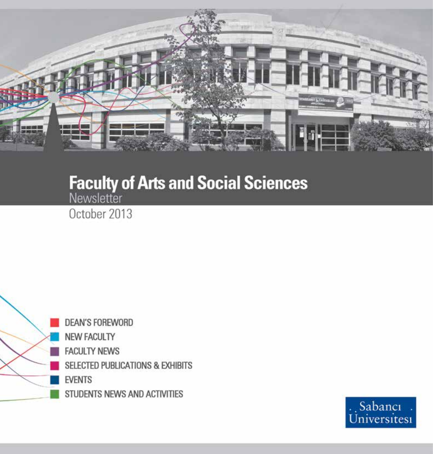

# **Faculty of Arts and Social Sciences**

October 2013



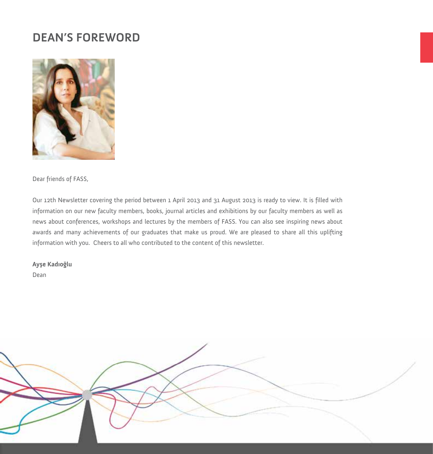## **DEAN'S FOREWORD**



Dear friends of FASS,

Our 12th Newsletter covering the period between 1 April 2013 and 31 August 2013 is ready to view. It is filled with information on our new faculty members, books, journal articles and exhibitions by our faculty members as well as news about conferences, workshops and lectures by the members of FASS. You can also see inspiring news about awards and many achievements of our graduates that make us proud. We are pleased to share all this uplifting information with you. Cheers to all who contributed to the content of this newsletter.

**Ayşe Kadıoğlu**

Dean

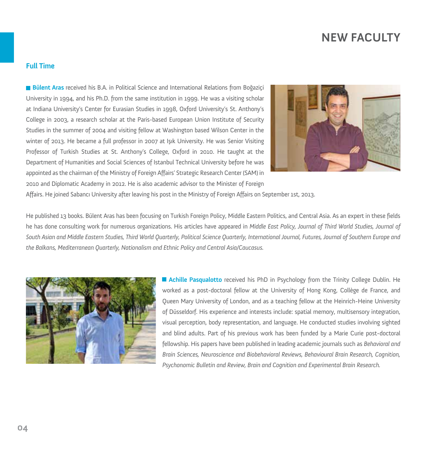## **NEW FACULTY**

#### **Full Time**

**Bülent Aras** received his B.A. in Political Science and International Relations from Boğaziçi University in 1994, and his Ph.D. from the same institution in 1999. He was a visiting scholar at Indiana University's Center for Eurasian Studies in 1998, Oxford University's St. Anthony's College in 2003, a research scholar at the Paris-based European Union Institute of Security Studies in the summer of 2004 and visiting fellow at Washington based Wilson Center in the winter of 2013. He became a full professor in 2007 at Işık University. He was Senior Visiting Professor of Turkish Studies at St. Anthony's College, Oxford in 2010. He taught at the Department of Humanities and Social Sciences of Istanbul Technical University before he was appointed as the chairman of the Ministry of Foreign Affairs' Strategic Research Center (SAM) in 2010 and Diplomatic Academy in 2012. He is also academic advisor to the Minister of Foreign



Affairs. He joined Sabancı University after leaving his post in the Ministry of Foreign Affairs on September 1st, 2013.

He published 13 books. Bülent Aras has been focusing on Turkish Foreign Policy, Middle Eastern Politics, and Central Asia. As an expert in these fields he has done consulting work for numerous organizations. His articles have appeared in *Middle East Policy, Journal of Third World Studies, Journal of South Asian and Middle Eastern Studies, Third World Quarterly, Political Science Quarterly, International Journal, Futures, Journal of Southern Europe and the Balkans, Mediterranean Quarterly, Nationalism and Ethnic Policy and Central Asia/Caucasus.* 



**Achille Pasqualotto** received his PhD in Psychology from the Trinity College Dublin. He worked as a post-doctoral fellow at the University of Hong Kong, Collège de France, and Queen Mary University of London, and as a teaching fellow at the Heinrich-Heine University of Düsseldorf. His experience and interests include: spatial memory, multisensory integration, visual perception, body representation, and language. He conducted studies involving sighted and blind adults. Part of his previous work has been funded by a Marie Curie post-doctoral fellowship. His papers have been published in leading academic journals such as *Behavioral and Brain Sciences, Neuroscience and Biobehavioral Reviews, Behavioural Brain Research, Cognition, Psychonomic Bulletin and Review, Brain and Cognition and Experimental Brain Research.*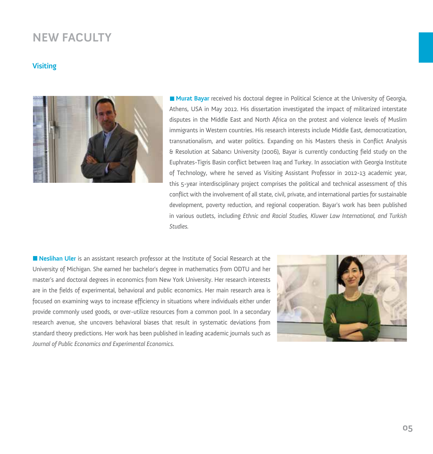## **NEW FACULTY**

#### **Visiting**



**Murat Bayar** received his doctoral degree in Political Science at the University of Georgia, Athens, USA in May 2012. His dissertation investigated the impact of militarized interstate disputes in the Middle East and North Africa on the protest and violence levels of Muslim immigrants in Western countries. His research interests include Middle East, democratization, transnationalism, and water politics. Expanding on his Masters thesis in Conflict Analysis & Resolution at Sabancı University (2006), Bayar is currently conducting field study on the Euphrates-Tigris Basin conflict between Iraq and Turkey. In association with Georgia Institute of Technology, where he served as Visiting Assistant Professor in 2012-13 academic year, this 5-year interdisciplinary project comprises the political and technical assessment of this conflict with the involvement of all state, civil, private, and international parties for sustainable development, poverty reduction, and regional cooperation. Bayar's work has been published in various outlets, including *Ethnic and Racial Studies, Kluwer Law International, and Turkish Studies.*

**Neslihan Uler** is an assistant research professor at the Institute of Social Research at the University of Michigan. She earned her bachelor's degree in mathematics from ODTU and her master's and doctoral degrees in economics from New York University. Her research interests are in the fields of experimental, behavioral and public economics. Her main research area is focused on examining ways to increase efficiency in situations where individuals either under provide commonly used goods, or over-utilize resources from a common pool. In a secondary research avenue, she uncovers behavioral biases that result in systematic deviations from standard theory predictions. Her work has been published in leading academic journals such as *Journal of Public Economics and Experimental Economics.*

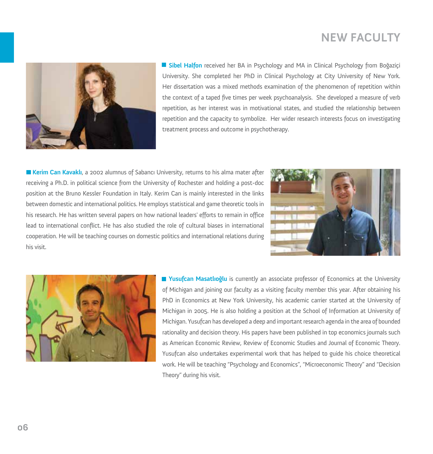# **NEW FACULTY**



**Sibel Halfon** received her BA in Psychology and MA in Clinical Psychology from Boğaziçi University. She completed her PhD in Clinical Psychology at City University of New York. Her dissertation was a mixed methods examination of the phenomenon of repetition within the context of a taped five times per week psychoanalysis. She developed a measure of verb repetition, as her interest was in motivational states, and studied the relationship between repetition and the capacity to symbolize. Her wider research interests focus on investigating treatment process and outcome in psychotherapy.

**Kerim Can Kavaklı**, a 2002 alumnus of Sabancı University, returns to his alma mater after receiving a Ph.D. in political science from the University of Rochester and holding a post-doc position at the Bruno Kessler Foundation in Italy. Kerim Can is mainly interested in the links between domestic and international politics. He employs statistical and game theoretic tools in his research. He has written several papers on how national leaders' efforts to remain in office lead to international conflict. He has also studied the role of cultural biases in international cooperation. He will be teaching courses on domestic politics and international relations during his visit.





**Yusufcan Masatlıoğlu** is currently an associate professor of Economics at the University of Michigan and joining our faculty as a visiting faculty member this year. After obtaining his PhD in Economics at New York University, his academic carrier started at the University of Michigan in 2005. He is also holding a position at the School of Information at University of Michigan. Yusufcan has developed a deep and important research agenda in the area of bounded rationality and decision theory. His papers have been published in top economics journals such as American Economic Review, Review of Economic Studies and Journal of Economic Theory. Yusufcan also undertakes experimental work that has helped to guide his choice theoretical work. He will be teaching "Psychology and Economics", "Microeconomic Theory" and "Decision Theory" during his visit.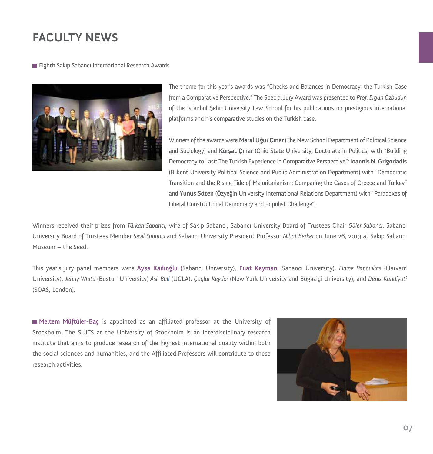## **FACULTY NEWS**

**Eighth Sakip Sabanci International Research Awards** 



The theme for this year's awards was "Checks and Balances in Democracy: the Turkish Case from a Comparative Perspective." The Special Jury Award was presented to *Prof. Ergun Özbudun*  of the Istanbul Şehir University Law School for his publications on prestigious international platforms and his comparative studies on the Turkish case.

Winners of the awards were **Meral Uğur Çınar**(The New School Department of Political Science and Sociology) and **Kürşat Çınar** (Ohio State University, Doctorate in Politics) with "Building Democracy to Last: The Turkish Experience in Comparative Perspective"; **Ioannis N. Grigoriadis**  (Bilkent University Political Science and Public Administration Department) with "Democratic Transition and the Rising Tide of Majoritarianism: Comparing the Cases of Greece and Turkey" and **Yunus Sözen** (Özyeğin University International Relations Department) with "Paradoxes of Liberal Constitutional Democracy and Populist Challenge".

Winners received their prizes from *Türkan Sabancı*, wife of Sakıp Sabancı, Sabancı University Board of Trustees Chair *Güler Sabancı*, Sabancı University Board of Trustees Member *Sevil Sabancı* and Sabancı University President Professor *Nihat Berker* on June 26, 2013 at Sakıp Sabancı Museum – the Seed.

This year's jury panel members were **Ayşe Kadıoğlu** (Sabancı University), **Fuat Keyman** (Sabancı University), *Elaine Papouilias* (Harvard University), *Jenny White* (Boston University) *Aslı Bali* (UCLA), *Çağlar Keyder* (New York University and Boğaziçi University), and *Deniz Kandiyoti* (SOAS, London).

**Meltem Müftüler-Baç** is appointed as an affiliated professor at the University of Stockholm. The SUITS at the University of Stockholm is an interdisciplinary research institute that aims to produce research of the highest international quality within both the social sciences and humanities, and the Affiliated Professors will contribute to these research activities.

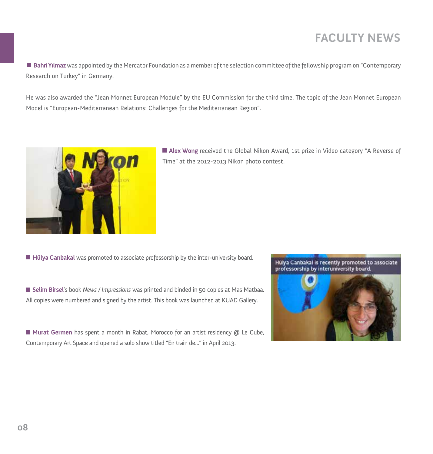# **FACULTY NEWS**

**Bahri Yılmaz** was appointed by the Mercator Foundation as a member of the selection committee of the fellowship program on "Contemporary Research on Turkey" in Germany.

He was also awarded the "Jean Monnet European Module" by the EU Commission for the third time. The topic of the Jean Monnet European Model is "European-Mediterranean Relations: Challenges for the Mediterranean Region".



**Alex Wong** received the Global Nikon Award, 1st prize in Video category "A Reverse of Time" at the 2012-2013 Nikon photo contest.

**Hülya Canbakal** was promoted to associate professorship by the inter-university board.

**Selim Birsel**'s book *News / Impressions* was printed and binded in 50 copies at Mas Matbaa. All copies were numbered and signed by the artist. This book was launched at KUAD Gallery.

**Murat Germen** has spent a month in Rabat, Morocco for an artist residency @ Le Cube, Contemporary Art Space and opened a solo show titled "En train de..." in April 2013.

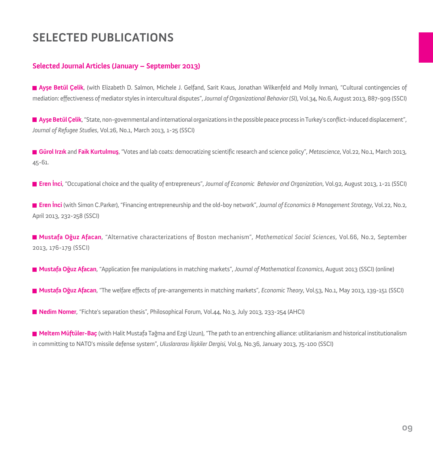#### **Selected Journal Articles (January – September 2013)**

**Ayşe Betül Çelik**, (with Elizabeth D. Salmon, Michele J. Gelfand, Sarit Kraus, Jonathan Wilkenfeld and Molly Inman), "Cultural contingencies of mediation: effectiveness of mediator styles in intercultural disputes", *Journal of Organizational Behavior (Sl)*, Vol.34, No.6, August 2013, 887-909 (SSCI)

**Ayşe Betül Çelik**, "State, non-governmental and international organizations in the possible peace process in Turkey's conflict-induced displacement", *Journal of Refugee Studies*, Vol.26, No.1, March 2013, 1-25 (SSCI)

**Gürol Irzık** and **Faik Kurtulmuş**, "Votes and lab coats: democratizing scientific research and science policy", *Metascience*, Vol.22, No.1, March 2013, 45-61.

**Eren İnci**, "Occupational choice and the quality of entrepreneurs", *Journal of Economic Behavior and Organization*, Vol.92, August 2013, 1-21 (SSCI)

**Eren İnci** (with Simon C.Parker), "Financing entrepreneurship and the old-boy network", *Journal of Economics & Management Strategy*, Vol.22, No.2, April 2013, 232-258 (SSCI)

**Mustafa Oğuz Afacan**, "Alternative characterizations of Boston mechanism", *Mathematical Social Sciences*, Vol.66, No.2, September 2013, 176-179 (SSCI)

**Mustafa Oğuz Afacan**, "Application fee manipulations in matching markets", *Journal of Mathematical Economics*, August 2013 (SSCI) (online)

**Mustafa Oğuz Afacan**, "The welfare effects of pre-arrangements in matching markets", *Economic Theory*, Vol.53, No.1, May 2013, 139-151 (SSCI)

**Nedim Nomer**, "Fichte's separation thesis", Philosophical Forum, Vol.44, No.3, July 2013, 233-254 (AHCI)

**Meltem Müftüler-Baç** (with Halit Mustafa Tağma and Ezgi Uzun), "The path to an entrenching alliance: utilitarianism and historical institutionalism in committing to NATO's missile defense system", *Uluslararası İlişkiler Dergisi,* Vol.9, No.36, January 2013, 75-100 (SSCI)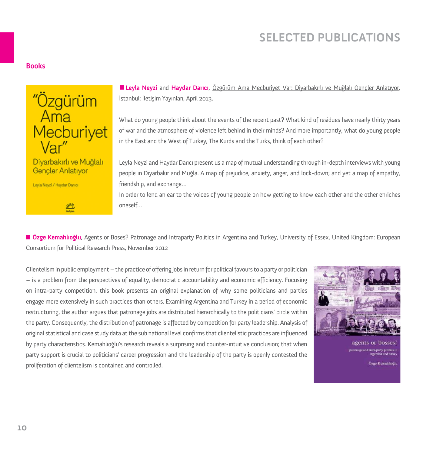#### **Books**



**SMA**<br>Notation

Levia Nevzi / Haydar Dancı

**Leyla Neyzi** and **Haydar Darıcı**, Özgürüm Ama Mecburiyet Var: Diyarbakırlı ve Muğlalı Gençler Anlatıyor, İstanbul: İletişim Yayınları, April 2013.

What do young people think about the events of the recent past? What kind of residues have nearly thirty years of war and the atmosphere of violence left behind in their minds? And more importantly, what do young people in the East and the West of Turkey, The Kurds and the Turks, think of each other?

Leyla Neyzi and Haydar Darıcı present us a map of mutual understanding through in-depth interviews with young people in Diyarbakır and Muğla. A map of prejudice, anxiety, anger, and lock-down; and yet a map of empathy, friendship, and exchange…

In order to lend an ear to the voices of young people on how getting to know each other and the other enriches oneself…

**Özge Kemahlıoğlu**, Agents or Boses? Patronage and Intraparty Politics in Argentina and Turkey, University of Essex, United Kingdom: European Consortium for Political Research Press, November 2012

Clientelism in public employment – the practice of offering jobs in return for political favours to a party or politician – is a problem from the perspectives of equality, democratic accountability and economic efficiency. Focusing on intra-party competition, this book presents an original explanation of why some politicians and parties engage more extensively in such practices than others. Examining Argentina and Turkey in a period of economic restructuring, the author argues that patronage jobs are distributed hierarchically to the politicians' circle within the party. Consequently, the distribution of patronage is affected by competition for party leadership. Analysis of original statistical and case study data at the sub national level confirms that clientelistic practices are influenced by party characteristics. Kemahlıoğlu's research reveals a surprising and counter-intuitive conclusion; that when party support is crucial to politicians' career progression and the leadership of the party is openly contested the proliferation of clientelism is contained and controlled.



agents or bosses? ige and intra-party politics in<br>argentina and turkey

Özge Kemahhog'u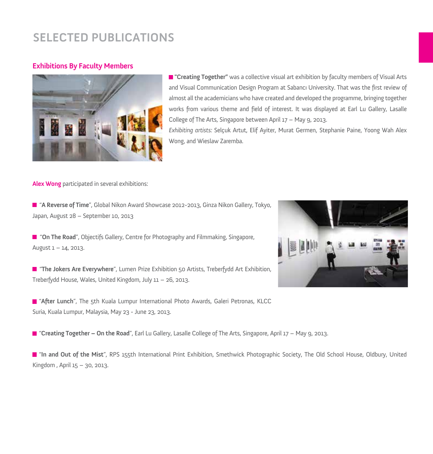#### **Exhibitions By Faculty Members**



 **"Creating Together"** was a collective visual art exhibition by faculty members of Visual Arts and Visual Communication Design Program at Sabancı University. That was the first review of almost all the academicians who have created and developed the programme, bringing together works from various theme and field of interest. It was displayed at Earl Lu Gallery, Lasalle College of The Arts, Singapore between April 17 – May 9, 2013.

*Exhibiting artists:* Selçuk Artut, Elif Ayiter, Murat Germen, Stephanie Paine, Yoong Wah Alex Wong, and Wieslaw Zaremba.

**Alex Wong** participated in several exhibitions:

 "**A Reverse of Time**", Global Nikon Award Showcase 2012-2013, Ginza Nikon Gallery, Tokyo, Japan, August 28 – September 10, 2013

**T** "On The Road", Objectifs Gallery, Centre for Photography and Filmmaking, Singapore, August 1 – 14, 2013.

**The Jokers Are Everywhere**", Lumen Prize Exhibition 50 Artists, Treberfydd Art Exhibition, Treberfydd House, Wales, United Kingdom, July 11 – 26, 2013.

"**After Lunch**", The 5th Kuala Lumpur International Photo Awards, Galeri Petronas, KLCC Suria, Kuala Lumpur, Malaysia, May 23 - June 23, 2013.

"**Creating Together – On the Road**", Earl Lu Gallery, Lasalle College of The Arts, Singapore, April 17 – May 9, 2013.

"**In and Out of the Mist**", RPS 155th International Print Exhibition, Smethwick Photographic Society, The Old School House, Oldbury, United Kingdom , April 15 – 30, 2013.

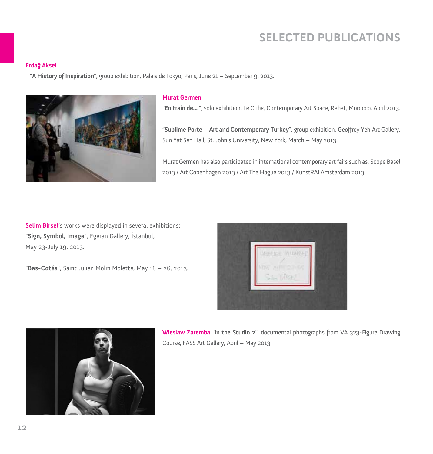#### **Erdağ Aksel**

"**A History of Inspiration**", group exhibition, Palais de Tokyo, Paris, June 21 – September 9, 2013.



#### **Murat Germen**

"**En train de...** ", solo exhibition, Le Cube, Contemporary Art Space, Rabat, Morocco, April 2013.

"**Sublime Porte – Art and Contemporary Turkey**", group exhibition, Geoffrey Yeh Art Gallery, Sun Yat Sen Hall, St. John's University, New York, March – May 2013.

Murat Germen has also participated in international contemporary art fairs such as, Scope Basel 2013 / Art Copenhagen 2013 / Art The Hague 2013 / KunstRAI Amsterdam 2013.

**Selim Birsel**'s works were displayed in several exhibitions: "**Sign, Symbol, Image**", Egeran Gallery, İstanbul, May 23-July 19, 2013.

"**Bas-Cotés**", Saint Julien Molin Molette, May 18 – 26, 2013.





**Wieslaw Zaremba** "**In the Studio 2**", documental photographs from VA 323-Figure Drawing Course, FASS Art Gallery, April – May 2013.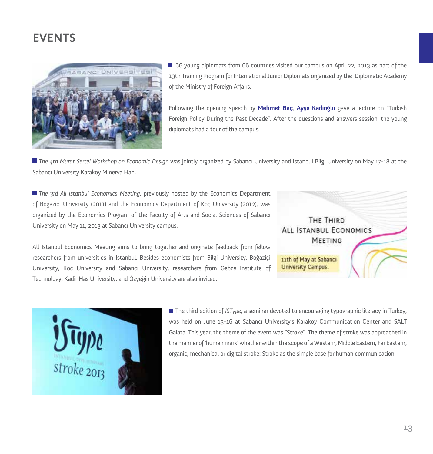

66 young diplomats from 66 countries visited our campus on April 22, 2013 as part of the 19th Training Program for International Junior Diplomats organized by the Diplomatic Academy of the Ministry of Foreign Affairs.

Following the opening speech by **Mehmet Baç**, **Ayşe Kadıoğlu** gave a lecture on "Turkish Foreign Policy During the Past Decade". After the questions and answers session, the young diplomats had a tour of the campus.

*The 4th Murat Sertel Workshop on Economic Design* was jointly organized by Sabancı University and Istanbul Bilgi University on May 17-18 at the Sabancı University Karaköy Minerva Han.

*The 3rd All Istanbul Economics Meeting*, previously hosted by the Economics Department of Boğaziçi University (2011) and the Economics Department of Koç University (2012), was organized by the Economics Program of the Faculty of Arts and Social Sciences of Sabancı University on May 11, 2013 at Sabancı University campus.

THE THIRD ALL ISTANBUL ECONOMICS **MEETING** 11th of May at Sabancı **University Campus.** 

All Istanbul Economics Meeting aims to bring together and originate feedback from fellow researchers from universities in Istanbul. Besides economists from Bilgi University, Boğaziçi University, Koç University and Sabancı University, researchers from Gebze Institute of Technology, Kadir Has University, and Özyeğin University are also invited.



**The third edition of** *ISType*, a seminar devoted to encouraging typographic literacy in Turkey, was held on June 13-16 at Sabancı University's Karaköy Communication Center and SALT Galata. This year, the theme of the event was "Stroke". The theme of stroke was approached in the manner of 'human mark' whether within the scope of a Western, Middle Eastern, Far Eastern, organic, mechanical or digital stroke: Stroke as the simple base for human communication.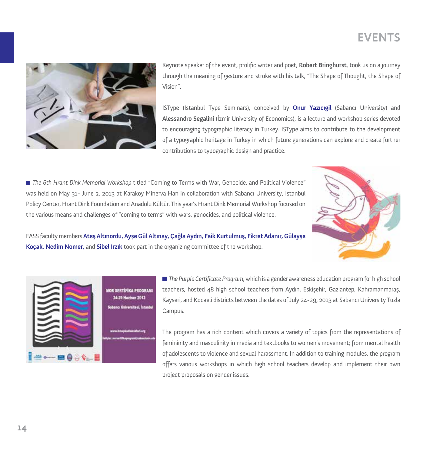

Keynote speaker of the event, prolific writer and poet, **Robert Bringhurst**, took us on a journey through the meaning of gesture and stroke with his talk, "The Shape of Thought, the Shape of Vision".

ISType (Istanbul Type Seminars), conceived by **Onur Yazıcıgil** (Sabancı University) and **Alessandro Segalini** (İzmir University of Economics), is a lecture and workshop series devoted to encouraging typographic literacy in Turkey. ISType aims to contribute to the development of a typographic heritage in Turkey in which future generations can explore and create further contributions to typographic design and practice.

*The 6th Hrant Dink Memorial Workshop* titled "Coming to Terms with War, Genocide, and Political Violence" was held on May 31- June 2, 2013 at Karakoy Minerva Han in collaboration with Sabancı University, Istanbul Policy Center, Hrant Dink Foundation and Anadolu Kültür. This year's Hrant Dink Memorial Workshop focused on the various means and challenges of "coming to terms" with wars, genocides, and political violence.



FASS faculty members **Ateş Altınordu, Ayşe Gül Altınay, Çağla Aydın, Faik Kurtulmuş, Fikret Adanır, Gülayşe Koçak, Nedim Nomer,** and **Sibel Irzık** took part in the organizing committee of the workshop.



*The Purple Certificate Program*, which is a gender awareness education program for high school teachers, hosted 48 high school teachers from Aydın, Eskişehir, Gaziantep, Kahramanmaraş, Kayseri, and Kocaeli districts between the dates of July 24-29, 2013 at Sabancı University Tuzla Campus.

The program has a rich content which covers a variety of topics from the representations of femininity and masculinity in media and textbooks to women's movement; from mental health of adolescents to violence and sexual harassment. In addition to training modules, the program offers various workshops in which high school teachers develop and implement their own project proposals on gender issues.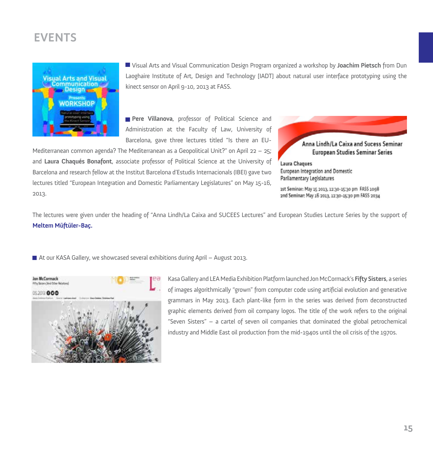

Visual Arts and Visual Communication Design Program organized a workshop by **Joachim Pietsch** from Dun Laoghaire Institute of Art, Design and Technology [IADT] about natural user interface prototyping using the kinect sensor on April 9-10, 2013 at FASS.

**Pere Villanova**, professor of Political Science and Administration at the Faculty of Law, University of Barcelona, gave three lectures titled "Is there an EU-

Mediterranean common agenda? The Mediterranean as a Geopolitical Unit?" on April 22 – 25; and **Laura Chaqués Bonafont**, associate professor of Political Science at the University of Barcelona and research fellow at the Institut Barcelona d'Estudis Internacionals (IBEI) gave two lectures titled "European Integration and Domestic Parliamentary Legislatures" on May 15-16, 2013.



Laura Chaques European Integration and Domestic Parliamentary Legislatures

1st Seminar: May 15 2013, 12:30-15:30 pm FASS 1098 2nd Seminar: May 16 2013, 12:30-15:30 pm FASS 2034

The lectures were given under the heading of "Anna Lindh/La Caixa and SUCEES Lectures" and European Studies Lecture Series by the support of **Meltem Müftüler-Baç.**

■ At our KASA Gallery, we showcased several exhibitions during April – August 2013.



Kasa Gallery and LEA Media Exhibition Platform launched Jon McCormack's **Fifty Sisters**, a series of images algorithmically "grown" from computer code using artificial evolution and generative grammars in May 2013. Each plant-like form in the series was derived from deconstructed graphic elements derived from oil company logos. The title of the work refers to the original "Seven Sisters" – a cartel of seven oil companies that dominated the global petrochemical industry and Middle East oil production from the mid-1940s until the oil crisis of the 1970s.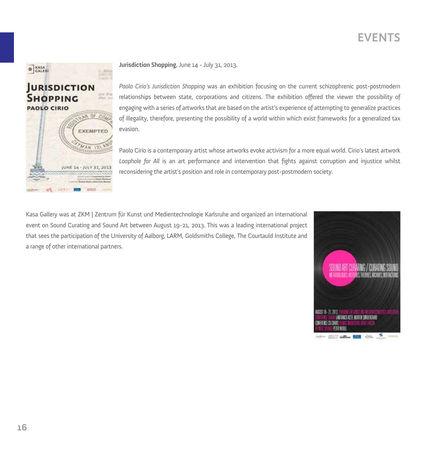## URISDICTION  $\frac{1}{2}$ **SHOPPING PAOLO CIRIO** RAB OF COL EXEMPTED MAN ISLA JUNE 14 - JULY 31, 2013 of lave m

**O** KASA

**Jurisdiction Shopping**, June 14 - July 31, 2013.

*Paolo Cirio's Jurisdiction Shopping* was an exhibition focusing on the current schizophrenic post-postmodern relationships between state, corporations and citizens. The exhibition offered the viewer the possibility of engaging with a series of artworks that are based on the artist's experience of attempting to generalize practices of illegality, therefore, presenting the possibility of a world within which exist frameworks for a generalized tax evasion.

Paolo Cirio is a contemporary artist whose artworks evoke activism for a more equal world. Cirio's latest artwork *Loophole for All* is an art performance and intervention that fights against corruption and injustice whilst reconsidering the artist's position and role in contemporary post-postmodern society.

Kasa Gallery was at ZKM | Zentrum für Kunst und Medientechnologie Karlsruhe and organized an international event on Sound Curating and Sound Art between August 19-21, 2013. This was a leading international project that sees the participation of the University of Aalborg, LARM, Goldsmiths College, The Courtauld Institute and a range of other international partners.

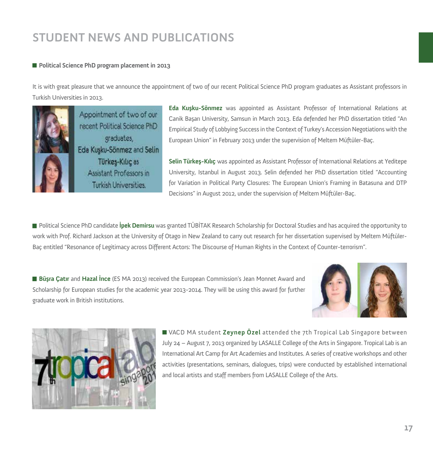#### **Political Science PhD program placement in 2013**

It is with great pleasure that we announce the appointment of two of our recent Political Science PhD program graduates as Assistant professors in Turkish Universities in 2013.



Appointment of two of our recent Political Science PhD graduates. Eda Kusku-Sönmez and Selin Türkeş-Kılıç as Assistant Professors in **Turkish Universities** 

**Eda Kuşku-Sönmez** was appointed as Assistant Professor of International Relations at Canik Başarı University, Samsun in March 2013. Eda defended her PhD dissertation titled "An Empirical Study of Lobbying Success in the Context of Turkey's Accession Negotiations with the European Union" in February 2013 under the supervision of Meltem Müftüler-Baç.

**Selin Türkeş-Kılıç** was appointed as Assistant Professor of International Relations at Yeditepe University, Istanbul in August 2013. Selin defended her PhD dissertation titled "Accounting for Variation in Political Party Closures: The European Union's Framing in Batasuna and DTP Decisions" in August 2012, under the supervision of Meltem Müftüler-Baç.

Political Science PhD candidate **İpek Demirsu** was granted TÜBİTAK Research Scholarship for Doctoral Studies and has acquired the opportunity to work with Prof. Richard Jackson at the University of Otago in New Zealand to carry out research for her dissertation supervised by Meltem Müftüler-Baç entitled "Resonance of Legitimacy across Different Actors: The Discourse of Human Rights in the Context of Counter-terrorism".

**Büşra Çatır** and **Hazal İnce** (ES MA 2013) received the European Commission's Jean Monnet Award and Scholarship for European studies for the academic year 2013-2014. They will be using this award for further graduate work in British institutions.





VACD MA student **Zeynep Özel** attended the 7th Tropical Lab Singapore between July 24 – August 7, 2013 organized by LASALLE College of the Arts in Singapore. Tropical Lab is an International Art Camp for Art Academies and Institutes. A series of creative workshops and other activities (presentations, seminars, dialogues, trips) were conducted by established international and local artists and staff members from LASALLE College of the Arts.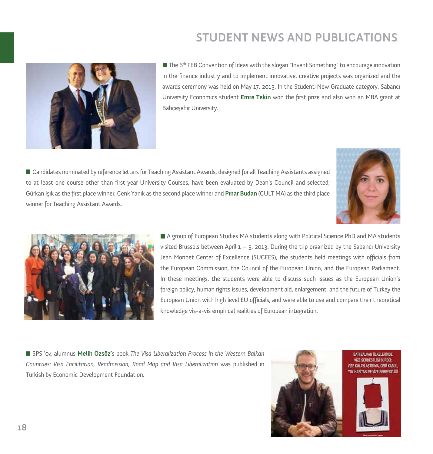

 $\blacksquare$  The 6<sup>th</sup> TEB Convention of Ideas with the slogan "Invent Something" to encourage innovation in the finance industry and to implement innovative, creative projects was organized and the awards ceremony was held on May 17, 2013. In the Student-New Graduate category, Sabancı University Economics student **Emre Tekin** won the first prize and also won an MBA grant at Bahçeşehir University.

Candidates nominated by reference letters for Teaching Assistant Awards, designed for all Teaching Assistants assigned to at least one course other than first year University Courses, have been evaluated by Dean's Council and selected; Gürkan Işık as the first place winner, Cenk Yanık as the second place winner and **Pınar Budan** (CULT MA) as the third place winner for Teaching Assistant Awards.





A group of European Studies MA students along with Political Science PhD and MA students visited Brussels between April  $1 - 5$ , 2013. During the trip organized by the Sabancı University Jean Monnet Center of Excellence (SUCEES), the students held meetings with officials from the European Commission, the Council of the European Union, and the European Parliament. In these meetings, the students were able to discuss such issues as the European Union's foreign policy, human rights issues, development aid, enlargement, and the future of Turkey the European Union with high level EU officials, and were able to use and compare their theoretical knowledge vis-a-vis empirical realities of European integration.

SPS '04 alumnus **Melih Özsöz'**s book *The Visa Liberalization Process in the Western Balkan Countries: Visa Facilitation, Readmission, Road Map and Visa Liberalization* was published in Turkish by Economic Development Foundation.



RATI RAI KAN (B.KF) FRÖVDE VÍZE SERBESTLÍĞÍ SÜRECİ: VIZE KOLAYLASTIRMA, GERI KABUL you wealthicular vize consport in

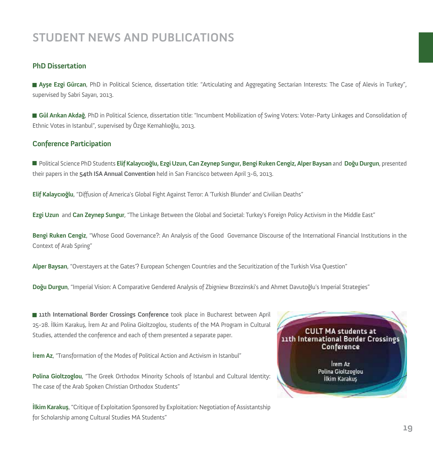#### **PhD Dissertation**

**Ayşe Ezgi Gürcan**, PhD in Political Science, dissertation title: "Articulating and Aggregating Sectarian Interests: The Case of Alevis in Turkey", supervised by Sabri Sayarı, 2013.

**Gül Arıkan Akdağ**, PhD in Political Science, dissertation title: "Incumbent Mobilization of Swing Voters: Voter-Party Linkages and Consolidation of Ethnic Votes in Istanbul", supervised by Özge Kemahlıoğlu, 2013.

#### **Conference Participation**

Political Science PhD Students **Elif Kalaycıoğlu, Ezgi Uzun, Can Zeynep Sungur, Bengi Ruken Cengiz, Alper Baysan** and **Doğu Durgun**, presented their papers in the **54th ISA Annual Convention** held in San Francisco between April 3-6, 2013.

**Elif Kalaycıoğlu**, "Diffusion of America's Global Fight Against Terror: A 'Turkish Blunder' and Civilian Deaths"

**Ezgi Uzun** and **Can Zeynep Sungur**, "The Linkage Between the Global and Societal: Turkey's Foreign Policy Activism in the Middle East"

**Bengi Ruken Cengiz**, "Whose Good Governance?: An Analysis of the Good Governance Discourse of the International Financial Institutions in the Context of Arab Spring"

**Alper Baysan**, "Overstayers at the Gates'? European Schengen Countries and the Securitization of the Turkish Visa Question"

**Doğu Durgun**, "Imperial Vision: A Comparative Gendered Analysis of Zbigniew Brzezinski's and Ahmet Davutoğlu's Imperial Strategies"

**11th International Border Crossings Conference** took place in Bucharest between April 25-28. İlkim Karakuş, İrem Az and Polina Gioltzoglou, students of the MA Program in Cultural Studies, attended the conference and each of them presented a separate paper.

**İrem Az**, "Transformation of the Modes of Political Action and Activism in Istanbul"

**Polina Gioltzoglou**, "The Greek Orthodox Minority Schools of Istanbul and Cultural Identity: The case of the Arab Spoken Christian Orthodox Students"

**İlkim Karakuş**, "Critique of Exploitation Sponsored by Exploitation: Negotiation of Assistantship for Scholarship among Cultural Studies MA Students"

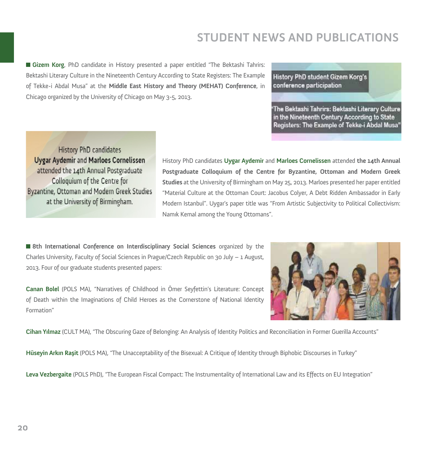**Gizem Korg**, PhD candidate in History presented a paper entitled "The Bektashi Tahrirs: Bektashi Literary Culture in the Nineteenth Century According to State Registers: The Example of Tekke-i Abdal Musa" at the **Middle East History and Theory (MEHAT) Conference**, in Chicago organized by the University of Chicago on May 3-5, 2013.

History PhD student Gizem Korg's conference participation

'The Bektashi Tahrirs: Bektashi Literary Culture in the Nineteenth Century According to State Registers: The Example of Tekke-i Abdal Musa''

History PhD candidates **Uygar Aydemir and Marloes Cornelissen** attended the 14th Annual Postgraduate Colloquium of the Centre for Byzantine, Ottoman and Modern Greek Studies at the University of Birmingham.

History PhD candidates **Uygar Aydemir** and **Marloes Cornelissen** attended **the 14th Annual Postgraduate Colloquium of the Centre for Byzantine, Ottoman and Modern Greek Studies** at the University of Birmingham on May 25, 2013. Marloes presented her paper entitled "Material Culture at the Ottoman Court: Jacobus Colyer, A Debt Ridden Ambassador in Early Modern Istanbul". Uygar's paper title was "From Artistic Subjectivity to Political Collectivism: Namık Kemal among the Young Ottomans".

**8th International Conference on Interdisciplinary Social Sciences** organized by the Charles University, Faculty of Social Sciences in Prague/Czech Republic on 30 July – 1 August, 2013. Four of our graduate students presented papers:

**Canan Bolel** (POLS MA), "Narratives of Childhood in Ömer Seyfettin's Literature: Concept of Death within the Imaginations of Child Heroes as the Cornerstone of National Identity Formation"



**Cihan Yılmaz** (CULT MA), "The Obscuring Gaze of Belonging: An Analysis of Identity Politics and Reconciliation in Former Guerilla Accounts"

**Hüseyin Arkın Raşit** (POLS MA), "The Unacceptability of the Bisexual: A Critique of Identity through Biphobic Discourses in Turkey"

Leva Vezbergaite (POLS PhD), "The European Fiscal Compact: The Instrumentality of International Law and its Effects on EU Integration"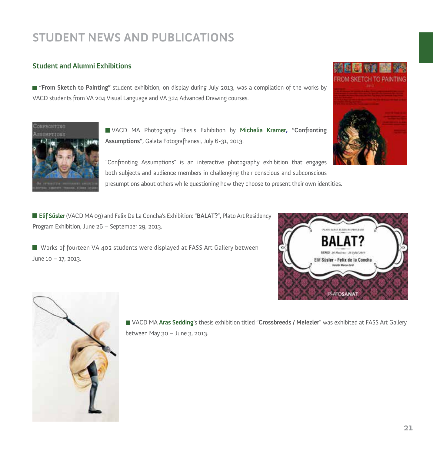### **Student and Alumni Exhibitions**



**"From Sketch to Painting"** student exhibition, on display during July 2013, was a compilation of the works by VACD students from VA 204 Visual Language and VA 324 Advanced Drawing courses.



VACD MA Photography Thesis Exhibition by **Michelia Kramer, "Confronting Assumptions"**, Galata Fotografhanesi, July 6-31, 2013.

"Confronting Assumptions" is an interactive photography exhibition that engages both subjects and audience members in challenging their conscious and subconscious presumptions about others while questioning how they choose to present their own identities.

**Elif Süsler** (VACD MA 09) and Felix De La Concha's Exhibition: "**BALAT?**", Plato Art Residency Program Exhibition, June 26 – September 29, 2013.

 Works of fourteen VA 402 students were displayed at FASS Art Gallery between June 10 – 17, 2013.





VACD MA **Aras Sedding**'s thesis exhibition titled "**Crossbreeds / Melezler**" was exhibited at FASS Art Gallery between May 30 – June 3, 2013.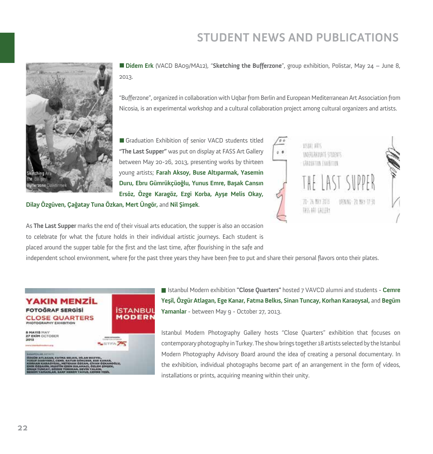

**Didem Erk** (VACD BA09/MA12), "**Sketching the Bufferzone**", group exhibition, Polistar, May 24 – June 8, 2013.

"Bufferzone", organized in collaboration with Uqbar from Berlin and European Mediterranean Art Association from Nicosia, is an experimental workshop and a cultural collaboration project among cultural organizers and artists.

Graduation Exhibition of senior VACD students titled **"The Last Supper"** was put on display at FASS Art Gallery between May 20-26, 2013, presenting works by thirteen young artists; **Farah Aksoy, Buse Altıparmak, Yasemin Duru, Ebru Gümrükçüoğlu, Yunus Emre, Başak Cansın Ersöz, Özge Karagöz, Ezgi Korba, Ayşe Melis Okay,** 



**Dilay Özgüven, Çağatay Tuna Özkan, Mert Üngör,** and **Nil Şimşek**.

As **The Last Supper** marks the end of their visual arts education, the supper is also an occasion to celebrate for what the future holds in their individual artistic journeys. Each student is placed around the supper table for the first and the last time, after flourishing in the safe and

independent school environment, where for the past three years they have been free to put and share their personal flavors onto their plates.



Istanbul Modern exhibition **"Close Quarters"** hosted 7 VAVCD alumni and students - **Cemre Yeşil, Özgür Atlagan, Ege Kanar, Fatma Belkıs, Sinan Tuncay, Korhan Karaoysal,** and **Begüm Yamanlar** - between May 9 - October 27, 2013.

Istanbul Modern Photography Gallery hosts "Close Quarters" exhibition that focuses on contemporary photography in Turkey. The show brings together 18 artists selected by the Istanbul Modern Photography Advisory Board around the idea of creating a personal documentary. In the exhibition, individual photographs become part of an arrangement in the form of videos, installations or prints, acquiring meaning within their unity.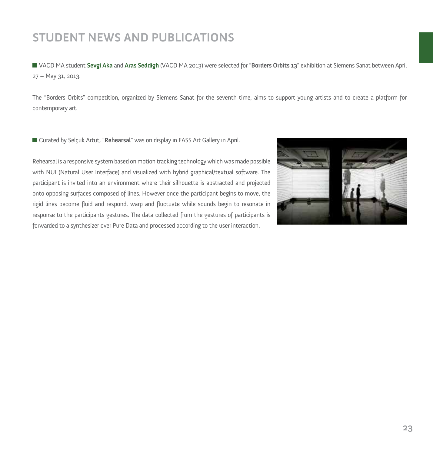VACD MA student **Sevgi Aka** and **Aras Seddigh** (VACD MA 2013) were selected for "**Borders Orbits 13**" exhibition at Siemens Sanat between April 27 – May 31, 2013.

The "Borders Orbits" competition, organized by Siemens Sanat for the seventh time, aims to support young artists and to create a platform for contemporary art.

■ Curated by Selçuk Artut, "**Rehearsal**" was on display in FASS Art Gallery in April.

Rehearsal is a responsive system based on motion tracking technology which was made possible with NUI (Natural User Interface) and visualized with hybrid graphical/textual software. The participant is invited into an environment where their silhouette is abstracted and projected onto opposing surfaces composed of lines. However once the participant begins to move, the rigid lines become fluid and respond, warp and fluctuate while sounds begin to resonate in response to the participants gestures. The data collected from the gestures of participants is forwarded to a synthesizer over Pure Data and processed according to the user interaction.

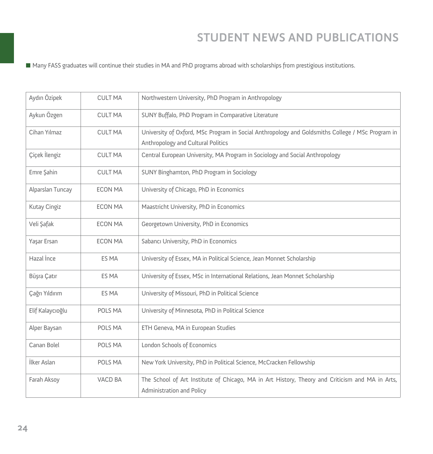Many FASS graduates will continue their studies in MA and PhD programs abroad with scholarships from prestigious institutions.

| Aydın Özipek     | <b>CULT MA</b> | Northwestern University, PhD Program in Anthropology                                                                                   |
|------------------|----------------|----------------------------------------------------------------------------------------------------------------------------------------|
| Aykun Özgen      | <b>CULT MA</b> | SUNY Buffalo, PhD Program in Comparative Literature                                                                                    |
| Cihan Yılmaz     | <b>CULT MA</b> | University of Oxford, MSc Program in Social Anthropology and Goldsmiths College / MSc Program in<br>Anthropology and Cultural Politics |
| Çiçek İlengiz    | <b>CULT MA</b> | Central European University, MA Program in Sociology and Social Anthropology                                                           |
| Emre Sahin       | <b>CULT MA</b> | SUNY Binghamton, PhD Program in Sociology                                                                                              |
| Alparslan Tuncay | <b>ECON MA</b> | University of Chicago, PhD in Economics                                                                                                |
| Kutay Cingiz     | <b>ECON MA</b> | Maastricht University, PhD in Economics                                                                                                |
| Veli Şafak       | <b>ECON MA</b> | Georgetown University, PhD in Economics                                                                                                |
| Yasar Ersan      | <b>ECON MA</b> | Sabancı University, PhD in Economics                                                                                                   |
| Hazal Ince       | ES MA          | University of Essex, MA in Political Science, Jean Monnet Scholarship                                                                  |
| Büşra Çatır      | ES MA          | University of Essex, MSc in International Relations, Jean Monnet Scholarship                                                           |
| Çağrı Yıldırım   | ES MA          | University of Missouri, PhD in Political Science                                                                                       |
| Elif Kalaycıoğlu | POLS MA        | University of Minnesota, PhD in Political Science                                                                                      |
| Alper Baysan     | POLS MA        | ETH Geneva, MA in European Studies                                                                                                     |
| Canan Bolel      | POLS MA        | London Schools of Economics                                                                                                            |
| İlker Aslan      | POLS MA        | New York University, PhD in Political Science, McCracken Fellowship                                                                    |
| Farah Aksoy      | VACD BA        | The School of Art Institute of Chicago, MA in Art History, Theory and Criticism and MA in Arts,<br>Administration and Policy           |